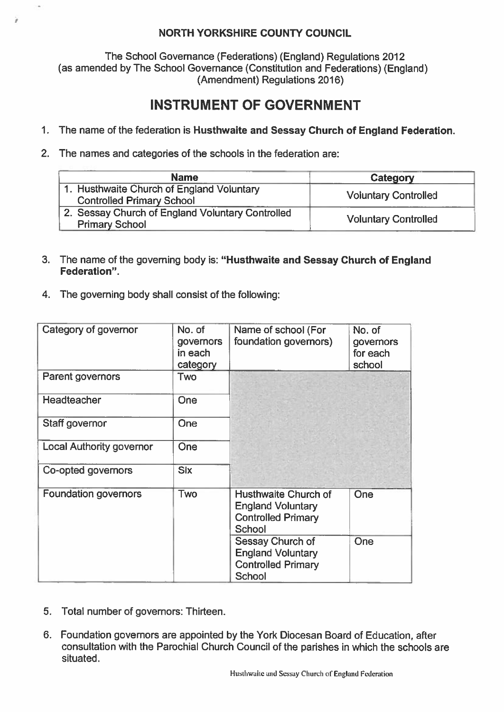## NORTH YORKSHIRE COUNTY COUNCIL

The School Governance (Federations) (England) Regulations 2012 (as amended by The School Governance (Constitution and Federations) (England) (Amendment) Regulations 2016)

## INSTRUMENT OF GOVERNMENT

- 1. The name of the federation is Husthwaite and Sessay Church of England Federation.
- 2. The names and categories of the schools in the federation are:

| <b>Name</b>                                                                   | Category                    |  |
|-------------------------------------------------------------------------------|-----------------------------|--|
| 1. Husthwaite Church of England Voluntary<br><b>Controlled Primary School</b> | <b>Voluntary Controlled</b> |  |
| 2. Sessay Church of England Voluntary Controlled<br><b>Primary School</b>     | <b>Voluntary Controlled</b> |  |

- 3. The name of the governing body is: "Husthwaite and Sessay Church of England Federation".
- 4. The governing body shall consist of the following:

| Category of governor            | No. of<br>governors<br>in each<br>category | Name of school (For<br>foundation governors)                                            | No. of<br>governors<br>for each<br>school |
|---------------------------------|--------------------------------------------|-----------------------------------------------------------------------------------------|-------------------------------------------|
| Parent governors                | Two                                        |                                                                                         |                                           |
| Headteacher                     | One                                        |                                                                                         |                                           |
| Staff governor                  | One                                        |                                                                                         |                                           |
| <b>Local Authority governor</b> | One                                        |                                                                                         |                                           |
| Co-opted governors              | <b>Six</b>                                 |                                                                                         |                                           |
| <b>Foundation governors</b>     | Two                                        | Husthwaite Church of<br><b>England Voluntary</b><br><b>Controlled Primary</b><br>School | One                                       |
|                                 |                                            | Sessay Church of<br><b>England Voluntary</b><br><b>Controlled Primary</b><br>School     | One                                       |

- 5. Total number of governors: Thirteen.
- 6. Foundation governors are appointed by the York Diocesan Board of Education, after consultation with the Parochial Church Council of the parishes in which the schools are situated.